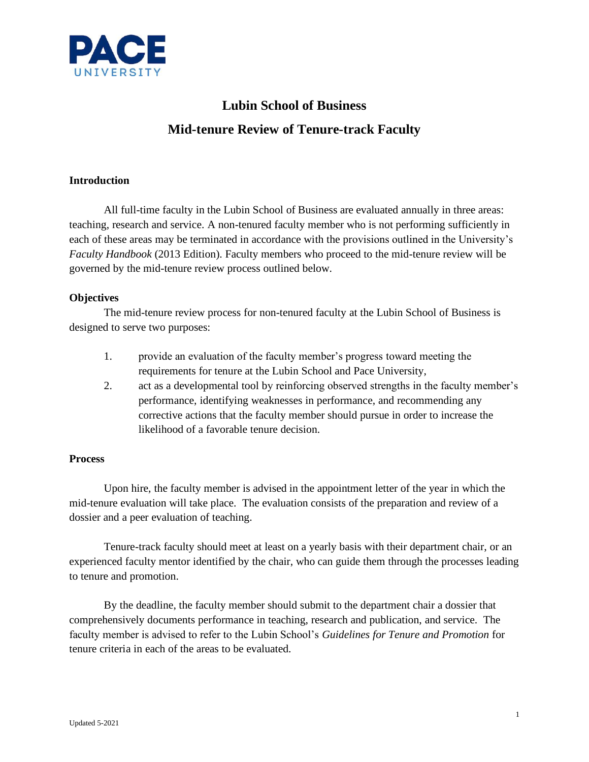

# **Lubin School of Business Mid-tenure Review of Tenure-track Faculty**

# **Introduction**

All full-time faculty in the Lubin School of Business are evaluated annually in three areas: teaching, research and service. A non-tenured faculty member who is not performing sufficiently in each of these areas may be terminated in accordance with the provisions outlined in the University's *Faculty Handbook* (2013 Edition). Faculty members who proceed to the mid-tenure review will be governed by the mid-tenure review process outlined below.

#### **Objectives**

The mid-tenure review process for non-tenured faculty at the Lubin School of Business is designed to serve two purposes:

- 1. provide an evaluation of the faculty member's progress toward meeting the requirements for tenure at the Lubin School and Pace University,
- 2. act as a developmental tool by reinforcing observed strengths in the faculty member's performance, identifying weaknesses in performance, and recommending any corrective actions that the faculty member should pursue in order to increase the likelihood of a favorable tenure decision.

#### **Process**

Upon hire, the faculty member is advised in the appointment letter of the year in which the mid-tenure evaluation will take place. The evaluation consists of the preparation and review of a dossier and a peer evaluation of teaching.

Tenure-track faculty should meet at least on a yearly basis with their department chair, or an experienced faculty mentor identified by the chair, who can guide them through the processes leading to tenure and promotion.

By the deadline, the faculty member should submit to the department chair a dossier that comprehensively documents performance in teaching, research and publication, and service. The faculty member is advised to refer to the Lubin School's *Guidelines for Tenure and Promotion* for tenure criteria in each of the areas to be evaluated.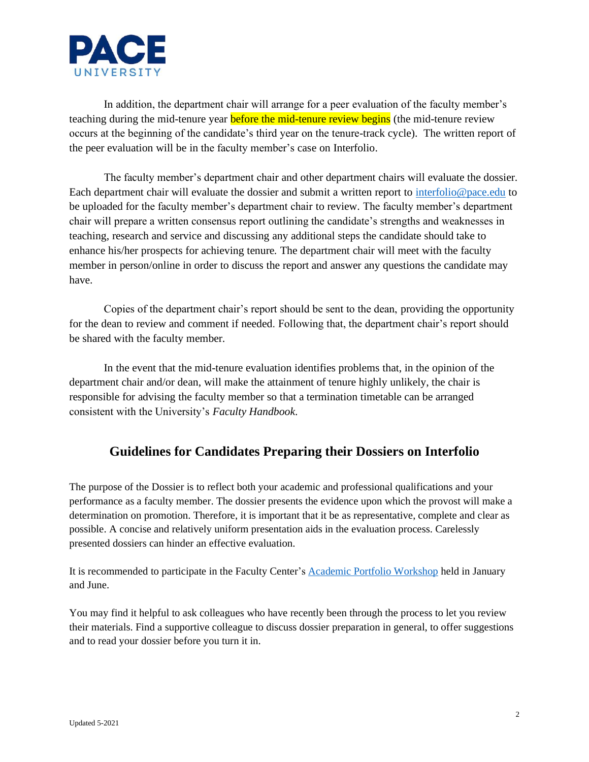

In addition, the department chair will arrange for a peer evaluation of the faculty member's teaching during the mid-tenure year **before the mid-tenure review begins** (the mid-tenure review occurs at the beginning of the candidate's third year on the tenure-track cycle). The written report of the peer evaluation will be in the faculty member's case on Interfolio.

The faculty member's department chair and other department chairs will evaluate the dossier. Each department chair will evaluate the dossier and submit a written report to [interfolio@pace.edu](mailto:interfolio@pace.edu) to be uploaded for the faculty member's department chair to review. The faculty member's department chair will prepare a written consensus report outlining the candidate's strengths and weaknesses in teaching, research and service and discussing any additional steps the candidate should take to enhance his/her prospects for achieving tenure*.* The department chair will meet with the faculty member in person/online in order to discuss the report and answer any questions the candidate may have.

Copies of the department chair's report should be sent to the dean, providing the opportunity for the dean to review and comment if needed. Following that, the department chair's report should be shared with the faculty member.

In the event that the mid-tenure evaluation identifies problems that, in the opinion of the department chair and/or dean, will make the attainment of tenure highly unlikely, the chair is responsible for advising the faculty member so that a termination timetable can be arranged consistent with the University's *Faculty Handbook*.

# **Guidelines for Candidates Preparing their Dossiers on Interfolio**

The purpose of the Dossier is to reflect both your academic and professional qualifications and your performance as a faculty member. The dossier presents the evidence upon which the provost will make a determination on promotion. Therefore, it is important that it be as representative, complete and clear as possible. A concise and relatively uniform presentation aids in the evaluation process. Carelessly presented dossiers can hinder an effective evaluation.

It is recommended to participate in the Faculty Center's [Academic Portfolio Workshop](https://www.pace.edu/faculty-center/events/academic-portfolio-workshop) held in January and June.

You may find it helpful to ask colleagues who have recently been through the process to let you review their materials. Find a supportive colleague to discuss dossier preparation in general, to offer suggestions and to read your dossier before you turn it in.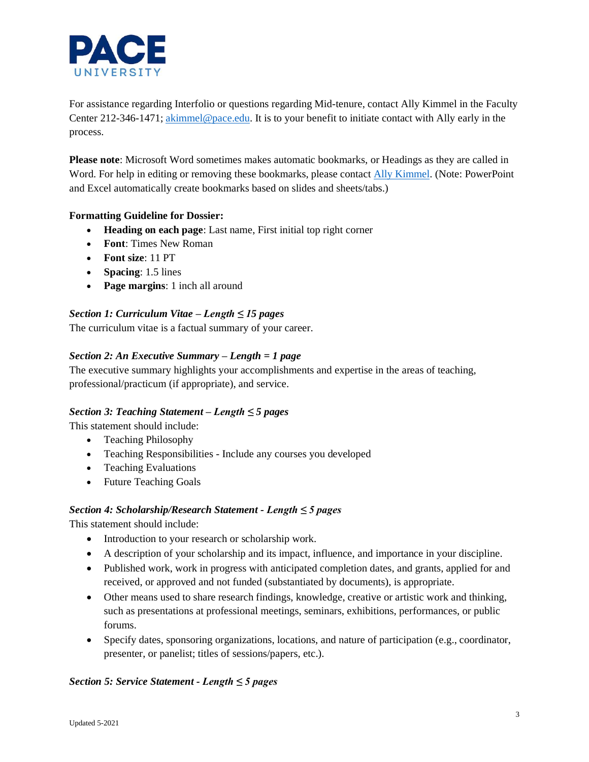

For assistance regarding Interfolio or questions regarding Mid-tenure, contact Ally Kimmel in the Faculty Center 212-346-1471; [akimmel@pace.edu.](mailto:akimmel@pace.edu) It is to your benefit to initiate contact with Ally early in the process.

**Please note**: Microsoft Word sometimes makes automatic bookmarks, or Headings as they are called in Word. For help in editing or removing these bookmarks, please contact [Ally Kimmel.](mailto:akimmel@pace.edu) (Note: PowerPoint and Excel automatically create bookmarks based on slides and sheets/tabs.)

# **Formatting Guideline for Dossier:**

- **Heading on each page**: Last name, First initial top right corner
- **Font**: Times New Roman
- **Font size**: 11 PT
- **Spacing**: 1.5 lines
- **Page margins**: 1 inch all around

# *Section 1: Curriculum Vitae – Length ≤ 15 pages*

The curriculum vitae is a factual summary of your career.

#### *Section 2: An Executive Summary – Length = 1 page*

The executive summary highlights your accomplishments and expertise in the areas of teaching, professional/practicum (if appropriate), and service.

#### *Section 3: Teaching Statement – Length ≤ 5 pages*

This statement should include:

- Teaching Philosophy
- Teaching Responsibilities Include any courses you developed
- Teaching Evaluations
- Future Teaching Goals

#### *Section 4: Scholarship/Research Statement - Length ≤ 5 pages*

This statement should include:

- Introduction to your research or scholarship work.
- A description of your scholarship and its impact, influence, and importance in your discipline.
- Published work, work in progress with anticipated completion dates, and grants, applied for and received, or approved and not funded (substantiated by documents), is appropriate.
- Other means used to share research findings, knowledge, creative or artistic work and thinking, such as presentations at professional meetings, seminars, exhibitions, performances, or public forums.
- Specify dates, sponsoring organizations, locations, and nature of participation (e.g., coordinator, presenter, or panelist; titles of sessions/papers, etc.).

#### *Section 5: Service Statement - Length ≤ 5 pages*